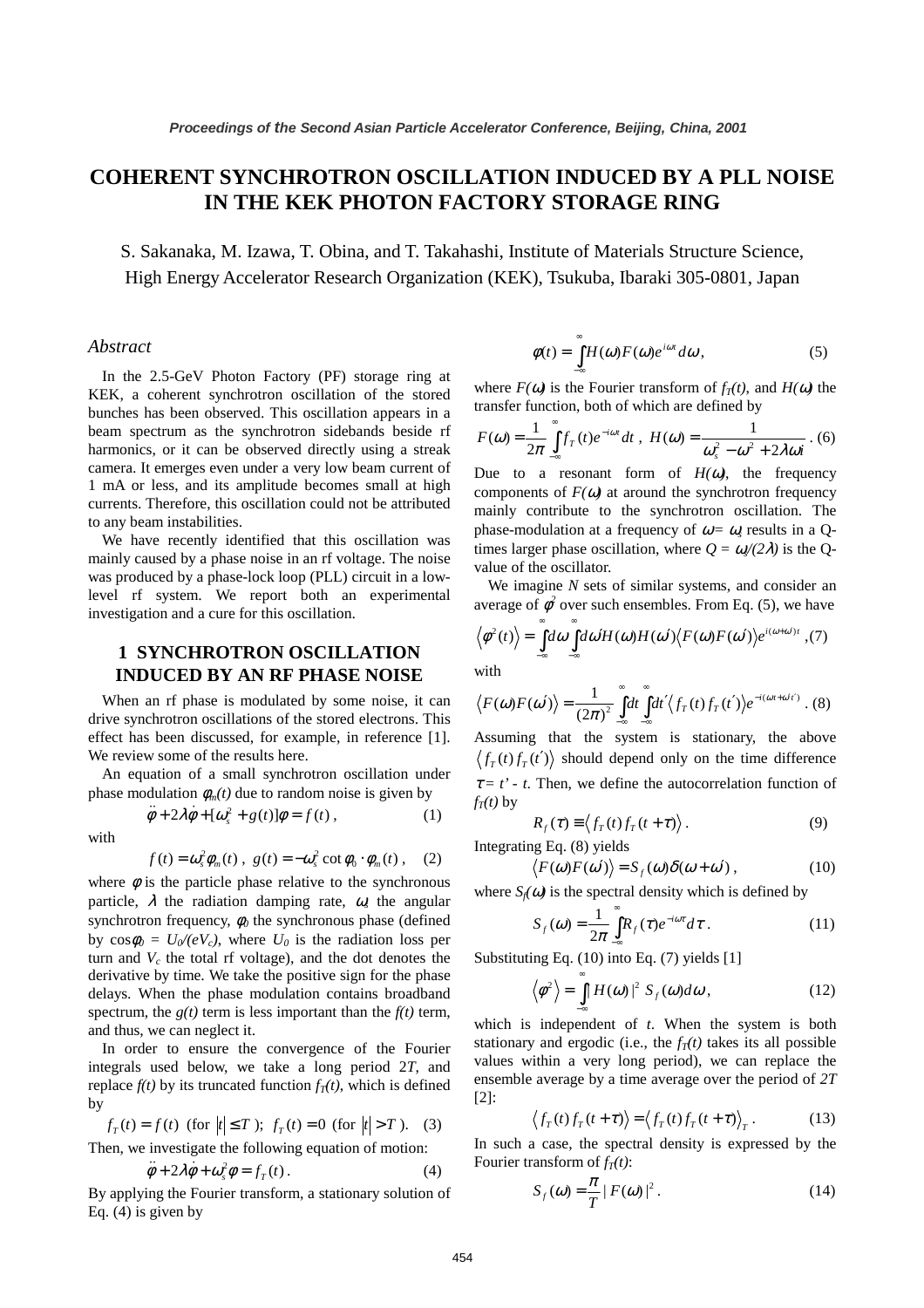# **COHERENT SYNCHROTRON OSCILLATION INDUCED BY A PLL NOISE IN THE KEK PHOTON FACTORY STORAGE RING**

S. Sakanaka, M. Izawa, T. Obina, and T. Takahashi, Institute of Materials Structure Science, High Energy Accelerator Research Organization (KEK), Tsukuba, Ibaraki 305-0801, Japan

#### *Abstract*

In the 2.5-GeV Photon Factory (PF) storage ring at KEK, a coherent synchrotron oscillation of the stored bunches has been observed. This oscillation appears in a beam spectrum as the synchrotron sidebands beside rf harmonics, or it can be observed directly using a streak camera. It emerges even under a very low beam current of 1 mA or less, and its amplitude becomes small at high currents. Therefore, this oscillation could not be attributed to any beam instabilities.

We have recently identified that this oscillation was mainly caused by a phase noise in an rf voltage. The noise was produced by a phase-lock loop (PLL) circuit in a lowlevel rf system. We report both an experimental investigation and a cure for this oscillation.

# **1 SYNCHROTRON OSCILLATION INDUCED BY AN RF PHASE NOISE**

When an rf phase is modulated by some noise, it can drive synchrotron oscillations of the stored electrons. This effect has been discussed, for example, in reference [1]. We review some of the results here.

An equation of a small synchrotron oscillation under phase modulation  $\phi_m(t)$  due to random noise is given by

with

$$
f(t) = \omega_s^2 \phi_m(t) , g(t) = -\omega_s^2 \cot \phi_0 \cdot \phi_m(t) , (2)
$$

 $\ddot{\phi} + 2\lambda \dot{\phi} + [\omega^2 + g(t)]\phi = f(t)$ , (1)

where  $\phi$  is the particle phase relative to the synchronous particle,  $\lambda$  the radiation damping rate,  $\omega$  the angular synchrotron frequency,  $\phi_0$  the synchronous phase (defined by  $\cos \phi_0 = U_0/(eV_c)$ , where  $U_0$  is the radiation loss per turn and  $V_c$  the total rf voltage), and the dot denotes the derivative by time. We take the positive sign for the phase delays. When the phase modulation contains broadband spectrum, the  $g(t)$  term is less important than the  $f(t)$  term, and thus, we can neglect it.

In order to ensure the convergence of the Fourier integrals used below, we take a long period 2*T*, and replace  $f(t)$  by its truncated function  $f<sub>T</sub>(t)$ , which is defined by

$$
f_T(t) = f(t)
$$
 (for  $|t| \le T$ );  $f_T(t) = 0$  (for  $|t| > T$ ). (3)

Then, we investigate the following equation of motion:

$$
\ddot{\phi} + 2\lambda \dot{\phi} + \omega_s^2 \phi = f_T(t). \tag{4}
$$

By applying the Fourier transform, a stationary solution of Eq. (4) is given by

$$
\phi(t) = \int_{-\infty}^{\infty} H(\omega) F(\omega) e^{i\omega t} d\omega, \qquad (5)
$$

where  $F(\omega)$  is the Fourier transform of  $f_T(t)$ , and  $H(\omega)$  the transfer function, both of which are defined by

$$
F(\omega) = \frac{1}{2\pi} \int_{-\infty}^{\infty} f_T(t) e^{-i\omega t} dt, \quad H(\omega) = \frac{1}{\omega_s^2 - \omega^2 + 2\lambda \omega i} \ . \tag{6}
$$

Due to a resonant form of  $H(\omega)$ , the frequency components of  $F(\omega)$  at around the synchrotron frequency mainly contribute to the synchrotron oscillation. The phase-modulation at a frequency of  $\omega = \omega$ <sub>s</sub> results in a Qtimes larger phase oscillation, where  $Q = \omega/(2\lambda)$  is the Qvalue of the oscillator.

We imagine *N* sets of similar systems, and consider an average of  $\phi^2$  over such ensembles. From Eq. (5), we have

$$
\langle \phi^2(t) \rangle = \int_{-\infty}^{\infty} d\omega \int_{-\infty}^{\infty} d\omega' H(\omega) H(\omega') \langle F(\omega) F(\omega') \rangle e^{i(\omega + \omega')t}, (7)
$$

with

$$
\langle F(\omega) F(\omega') \rangle = \frac{1}{(2\pi)^2} \int_{-\infty}^{\infty} dt \int_{-\infty}^{\infty} dt' \langle f_T(t) f_T(t') \rangle e^{-i(\omega t + \omega' t')} . (8)
$$

Assuming that the system is stationary, the above  $\langle f_T(t) f_T(t') \rangle$  should depend only on the time difference  $\tau = t'$  - t. Then, we define the autocorrelation function of  $f_T(t)$  by

$$
R_f(\tau) \equiv \langle f_T(t) f_T(t+\tau) \rangle. \tag{9}
$$

Integrating Eq. (8) yields

 $\langle F(\omega) F(\omega') \rangle = S_f(\omega) \delta(\omega + \omega')$ , (10)

where  $S_f(\omega)$  is the spectral density which is defined by

$$
S_f(\omega) = \frac{1}{2\pi} \int_{-\infty}^{\infty} R_f(\tau) e^{-i\omega \tau} d\tau.
$$
 (11)

Substituting Eq. (10) into Eq. (7) yields [1]

$$
\left\langle \phi^2 \right\rangle = \int_{-\infty}^{\infty} |H(\omega)|^2 S_f(\omega) d\omega, \qquad (12)
$$

which is independent of *t*. When the system is both stationary and ergodic (i.e., the  $f_T(t)$  takes its all possible values within a very long period), we can replace the ensemble average by a time average over the period of *2T* [2]:

$$
\left\langle f_T(t)f_T(t+\tau)\right\rangle = \left\langle f_T(t)f_T(t+\tau)\right\rangle_T. \tag{13}
$$

In such a case, the spectral density is expressed by the Fourier transform of  $f<sub>T</sub>(t)$ :

$$
S_f(\omega) = \frac{\pi}{T} |F(\omega)|^2.
$$
 (14)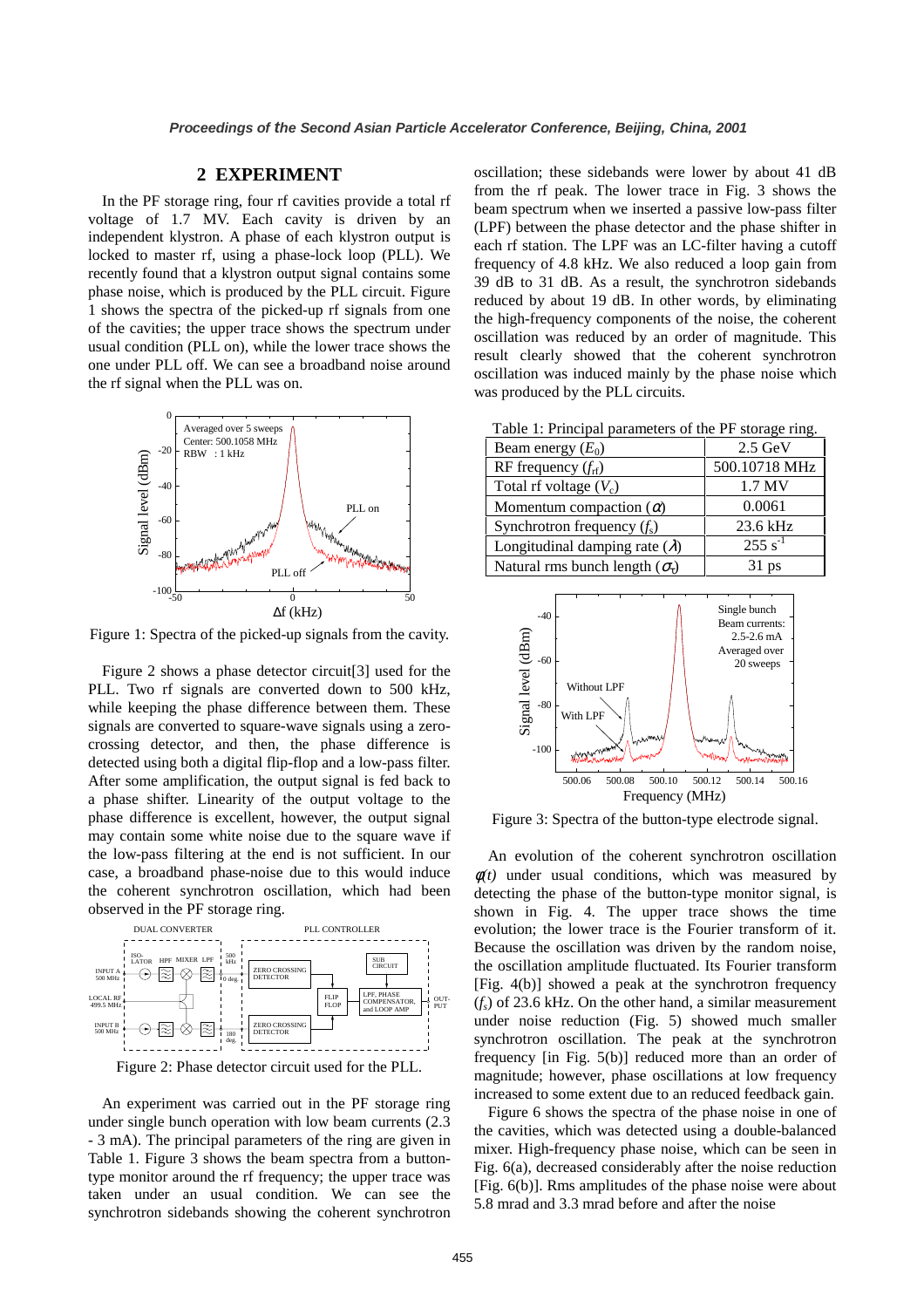#### **2 EXPERIMENT**

In the PF storage ring, four rf cavities provide a total rf voltage of 1.7 MV. Each cavity is driven by an independent klystron. A phase of each klystron output is locked to master rf, using a phase-lock loop (PLL). We recently found that a klystron output signal contains some phase noise, which is produced by the PLL circuit. Figure 1 shows the spectra of the picked-up rf signals from one of the cavities; the upper trace shows the spectrum under usual condition (PLL on), while the lower trace shows the one under PLL off. We can see a broadband noise around the rf signal when the PLL was on.



Figure 1: Spectra of the picked-up signals from the cavity.

Figure 2 shows a phase detector circuit[3] used for the PLL. Two rf signals are converted down to 500 kHz, while keeping the phase difference between them. These signals are converted to square-wave signals using a zerocrossing detector, and then, the phase difference is detected using both a digital flip-flop and a low-pass filter. After some amplification, the output signal is fed back to a phase shifter. Linearity of the output voltage to the phase difference is excellent, however, the output signal may contain some white noise due to the square wave if the low-pass filtering at the end is not sufficient. In our case, a broadband phase-noise due to this would induce the coherent synchrotron oscillation, which had been observed in the PF storage ring.



Figure 2: Phase detector circuit used for the PLL.

An experiment was carried out in the PF storage ring under single bunch operation with low beam currents (2.3 - 3 mA). The principal parameters of the ring are given in Table 1. Figure 3 shows the beam spectra from a buttontype monitor around the rf frequency; the upper trace was taken under an usual condition. We can see the synchrotron sidebands showing the coherent synchrotron

oscillation; these sidebands were lower by about 41 dB from the rf peak. The lower trace in Fig. 3 shows the beam spectrum when we inserted a passive low-pass filter (LPF) between the phase detector and the phase shifter in each rf station. The LPF was an LC-filter having a cutoff frequency of 4.8 kHz. We also reduced a loop gain from 39 dB to 31 dB. As a result, the synchrotron sidebands reduced by about 19 dB. In other words, by eliminating the high-frequency components of the noise, the coherent oscillation was reduced by an order of magnitude. This result clearly showed that the coherent synchrotron oscillation was induced mainly by the phase noise which was produced by the PLL circuits.

Table 1: Principal parameters of the PF storage ring.

| Beam energy $(E_0)$                        | $2.5 \text{ GeV}$ |
|--------------------------------------------|-------------------|
| RF frequency $(f_{\rm rf})$                | 500.10718 MHz     |
| Total rf voltage $(V_c)$                   | 1.7 MV            |
| Momentum compaction $(\alpha)$             | 0.0061            |
| Synchrotron frequency $(f_s)$              | 23.6 kHz          |
| Longitudinal damping rate $(\lambda)$      | $255 s^{-1}$      |
| Natural rms bunch length $(\sigma_{\tau})$ | $31$ ps           |



Figure 3: Spectra of the button-type electrode signal.

An evolution of the coherent synchrotron oscillation  $\phi(t)$  under usual conditions, which was measured by detecting the phase of the button-type monitor signal, is shown in Fig. 4. The upper trace shows the time evolution; the lower trace is the Fourier transform of it. Because the oscillation was driven by the random noise, the oscillation amplitude fluctuated. Its Fourier transform [Fig. 4(b)] showed a peak at the synchrotron frequency (*fs*) of 23.6 kHz. On the other hand, a similar measurement under noise reduction (Fig. 5) showed much smaller synchrotron oscillation. The peak at the synchrotron frequency [in Fig. 5(b)] reduced more than an order of magnitude; however, phase oscillations at low frequency increased to some extent due to an reduced feedback gain.

Figure 6 shows the spectra of the phase noise in one of the cavities, which was detected using a double-balanced mixer. High-frequency phase noise, which can be seen in Fig. 6(a), decreased considerably after the noise reduction [Fig. 6(b)]. Rms amplitudes of the phase noise were about 5.8 mrad and 3.3 mrad before and after the noise